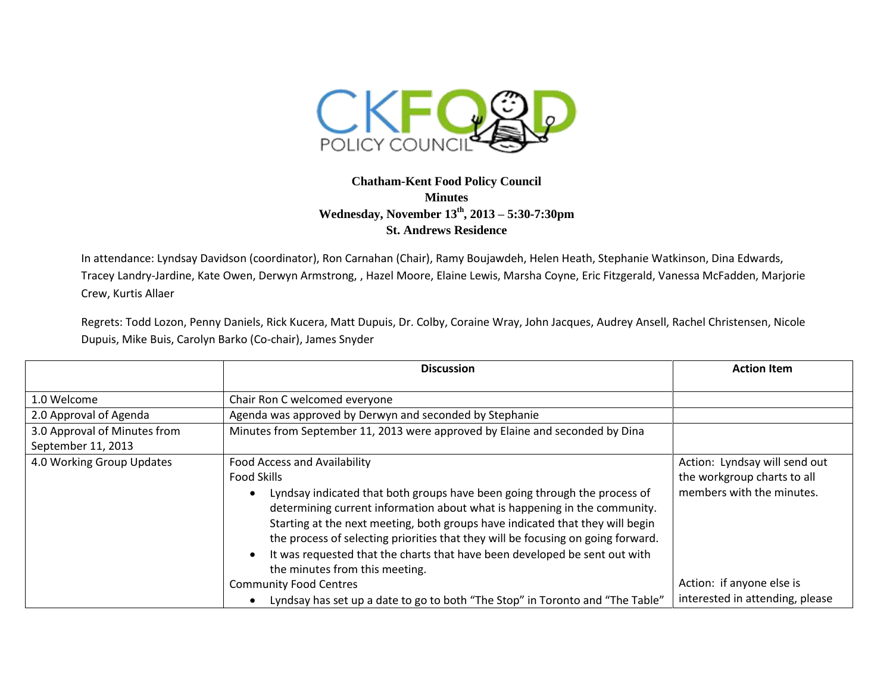

## **Chatham-Kent Food Policy Council Minutes Wednesday, November 13th, 2013 – 5:30-7:30pm St. Andrews Residence**

In attendance: Lyndsay Davidson (coordinator), Ron Carnahan (Chair), Ramy Boujawdeh, Helen Heath, Stephanie Watkinson, Dina Edwards, Tracey Landry-Jardine, Kate Owen, Derwyn Armstrong, , Hazel Moore, Elaine Lewis, Marsha Coyne, Eric Fitzgerald, Vanessa McFadden, Marjorie Crew, Kurtis Allaer

Regrets: Todd Lozon, Penny Daniels, Rick Kucera, Matt Dupuis, Dr. Colby, Coraine Wray, John Jacques, Audrey Ansell, Rachel Christensen, Nicole Dupuis, Mike Buis, Carolyn Barko (Co-chair), James Snyder

|                              | <b>Discussion</b>                                                                          | <b>Action Item</b>              |
|------------------------------|--------------------------------------------------------------------------------------------|---------------------------------|
|                              |                                                                                            |                                 |
| 1.0 Welcome                  | Chair Ron C welcomed everyone                                                              |                                 |
| 2.0 Approval of Agenda       | Agenda was approved by Derwyn and seconded by Stephanie                                    |                                 |
| 3.0 Approval of Minutes from | Minutes from September 11, 2013 were approved by Elaine and seconded by Dina               |                                 |
| September 11, 2013           |                                                                                            |                                 |
| 4.0 Working Group Updates    | <b>Food Access and Availability</b>                                                        | Action: Lyndsay will send out   |
|                              | <b>Food Skills</b>                                                                         | the workgroup charts to all     |
|                              | Lyndsay indicated that both groups have been going through the process of<br>$\bullet$     | members with the minutes.       |
|                              | determining current information about what is happening in the community.                  |                                 |
|                              | Starting at the next meeting, both groups have indicated that they will begin              |                                 |
|                              | the process of selecting priorities that they will be focusing on going forward.           |                                 |
|                              | It was requested that the charts that have been developed be sent out with<br>$\bullet$    |                                 |
|                              | the minutes from this meeting.                                                             |                                 |
|                              | <b>Community Food Centres</b>                                                              | Action: if anyone else is       |
|                              | Lyndsay has set up a date to go to both "The Stop" in Toronto and "The Table"<br>$\bullet$ | interested in attending, please |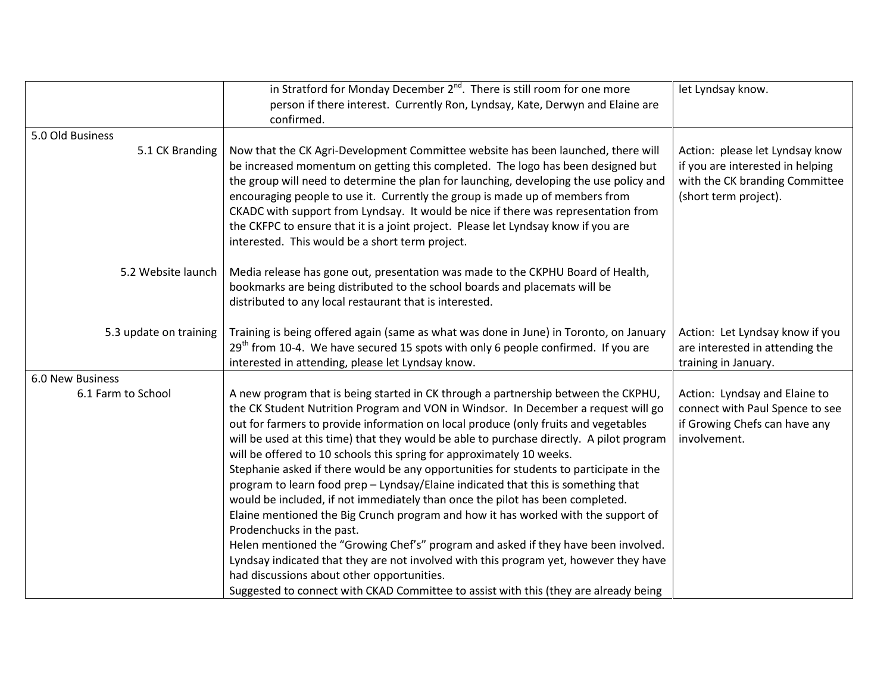|                        | in Stratford for Monday December $2^{nd}$ . There is still room for one more                                                                                                                                                                                                                                                                                                                                                                                                                                                                                                                                                                                                                                                                                                                                                                                                                                                                                                                                                                                                                                                                | let Lyndsay know.                                                                                                              |
|------------------------|---------------------------------------------------------------------------------------------------------------------------------------------------------------------------------------------------------------------------------------------------------------------------------------------------------------------------------------------------------------------------------------------------------------------------------------------------------------------------------------------------------------------------------------------------------------------------------------------------------------------------------------------------------------------------------------------------------------------------------------------------------------------------------------------------------------------------------------------------------------------------------------------------------------------------------------------------------------------------------------------------------------------------------------------------------------------------------------------------------------------------------------------|--------------------------------------------------------------------------------------------------------------------------------|
|                        | person if there interest. Currently Ron, Lyndsay, Kate, Derwyn and Elaine are                                                                                                                                                                                                                                                                                                                                                                                                                                                                                                                                                                                                                                                                                                                                                                                                                                                                                                                                                                                                                                                               |                                                                                                                                |
|                        | confirmed.                                                                                                                                                                                                                                                                                                                                                                                                                                                                                                                                                                                                                                                                                                                                                                                                                                                                                                                                                                                                                                                                                                                                  |                                                                                                                                |
| 5.0 Old Business       |                                                                                                                                                                                                                                                                                                                                                                                                                                                                                                                                                                                                                                                                                                                                                                                                                                                                                                                                                                                                                                                                                                                                             |                                                                                                                                |
| 5.1 CK Branding        | Now that the CK Agri-Development Committee website has been launched, there will<br>be increased momentum on getting this completed. The logo has been designed but<br>the group will need to determine the plan for launching, developing the use policy and<br>encouraging people to use it. Currently the group is made up of members from<br>CKADC with support from Lyndsay. It would be nice if there was representation from<br>the CKFPC to ensure that it is a joint project. Please let Lyndsay know if you are<br>interested. This would be a short term project.                                                                                                                                                                                                                                                                                                                                                                                                                                                                                                                                                                | Action: please let Lyndsay know<br>if you are interested in helping<br>with the CK branding Committee<br>(short term project). |
| 5.2 Website launch     | Media release has gone out, presentation was made to the CKPHU Board of Health,<br>bookmarks are being distributed to the school boards and placemats will be<br>distributed to any local restaurant that is interested.                                                                                                                                                                                                                                                                                                                                                                                                                                                                                                                                                                                                                                                                                                                                                                                                                                                                                                                    |                                                                                                                                |
| 5.3 update on training | Training is being offered again (same as what was done in June) in Toronto, on January<br>$29th$ from 10-4. We have secured 15 spots with only 6 people confirmed. If you are<br>interested in attending, please let Lyndsay know.                                                                                                                                                                                                                                                                                                                                                                                                                                                                                                                                                                                                                                                                                                                                                                                                                                                                                                          | Action: Let Lyndsay know if you<br>are interested in attending the<br>training in January.                                     |
| 6.0 New Business       |                                                                                                                                                                                                                                                                                                                                                                                                                                                                                                                                                                                                                                                                                                                                                                                                                                                                                                                                                                                                                                                                                                                                             |                                                                                                                                |
| 6.1 Farm to School     | A new program that is being started in CK through a partnership between the CKPHU,<br>the CK Student Nutrition Program and VON in Windsor. In December a request will go<br>out for farmers to provide information on local produce (only fruits and vegetables<br>will be used at this time) that they would be able to purchase directly. A pilot program<br>will be offered to 10 schools this spring for approximately 10 weeks.<br>Stephanie asked if there would be any opportunities for students to participate in the<br>program to learn food prep - Lyndsay/Elaine indicated that this is something that<br>would be included, if not immediately than once the pilot has been completed.<br>Elaine mentioned the Big Crunch program and how it has worked with the support of<br>Prodenchucks in the past.<br>Helen mentioned the "Growing Chef's" program and asked if they have been involved.<br>Lyndsay indicated that they are not involved with this program yet, however they have<br>had discussions about other opportunities.<br>Suggested to connect with CKAD Committee to assist with this (they are already being | Action: Lyndsay and Elaine to<br>connect with Paul Spence to see<br>if Growing Chefs can have any<br>involvement.              |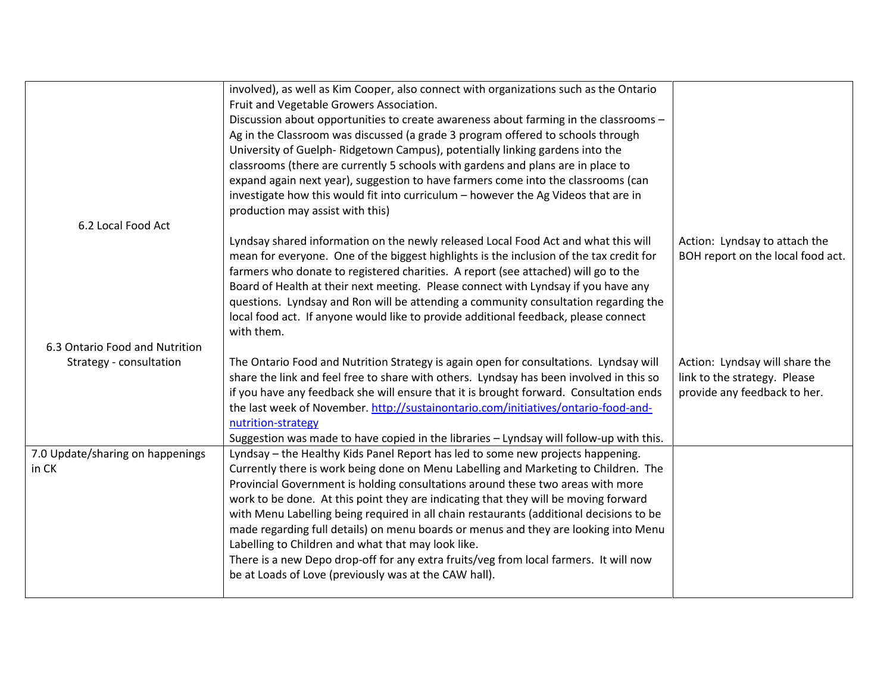|                                  | involved), as well as Kim Cooper, also connect with organizations such as the Ontario   |                                   |
|----------------------------------|-----------------------------------------------------------------------------------------|-----------------------------------|
|                                  | Fruit and Vegetable Growers Association.                                                |                                   |
|                                  | Discussion about opportunities to create awareness about farming in the classrooms -    |                                   |
|                                  | Ag in the Classroom was discussed (a grade 3 program offered to schools through         |                                   |
|                                  | University of Guelph-Ridgetown Campus), potentially linking gardens into the            |                                   |
|                                  | classrooms (there are currently 5 schools with gardens and plans are in place to        |                                   |
|                                  | expand again next year), suggestion to have farmers come into the classrooms (can       |                                   |
|                                  | investigate how this would fit into curriculum - however the Ag Videos that are in      |                                   |
|                                  | production may assist with this)                                                        |                                   |
| 6.2 Local Food Act               |                                                                                         |                                   |
|                                  | Lyndsay shared information on the newly released Local Food Act and what this will      | Action: Lyndsay to attach the     |
|                                  | mean for everyone. One of the biggest highlights is the inclusion of the tax credit for | BOH report on the local food act. |
|                                  | farmers who donate to registered charities. A report (see attached) will go to the      |                                   |
|                                  | Board of Health at their next meeting. Please connect with Lyndsay if you have any      |                                   |
|                                  | questions. Lyndsay and Ron will be attending a community consultation regarding the     |                                   |
|                                  | local food act. If anyone would like to provide additional feedback, please connect     |                                   |
|                                  | with them.                                                                              |                                   |
| 6.3 Ontario Food and Nutrition   |                                                                                         |                                   |
| Strategy - consultation          | The Ontario Food and Nutrition Strategy is again open for consultations. Lyndsay will   | Action: Lyndsay will share the    |
|                                  | share the link and feel free to share with others. Lyndsay has been involved in this so | link to the strategy. Please      |
|                                  | if you have any feedback she will ensure that it is brought forward. Consultation ends  | provide any feedback to her.      |
|                                  | the last week of November. http://sustainontario.com/initiatives/ontario-food-and-      |                                   |
|                                  | nutrition-strategy                                                                      |                                   |
|                                  | Suggestion was made to have copied in the libraries - Lyndsay will follow-up with this. |                                   |
| 7.0 Update/sharing on happenings | Lyndsay - the Healthy Kids Panel Report has led to some new projects happening.         |                                   |
| in CK                            | Currently there is work being done on Menu Labelling and Marketing to Children. The     |                                   |
|                                  | Provincial Government is holding consultations around these two areas with more         |                                   |
|                                  | work to be done. At this point they are indicating that they will be moving forward     |                                   |
|                                  |                                                                                         |                                   |
|                                  | with Menu Labelling being required in all chain restaurants (additional decisions to be |                                   |
|                                  | made regarding full details) on menu boards or menus and they are looking into Menu     |                                   |
|                                  | Labelling to Children and what that may look like.                                      |                                   |
|                                  | There is a new Depo drop-off for any extra fruits/veg from local farmers. It will now   |                                   |
|                                  | be at Loads of Love (previously was at the CAW hall).                                   |                                   |
|                                  |                                                                                         |                                   |